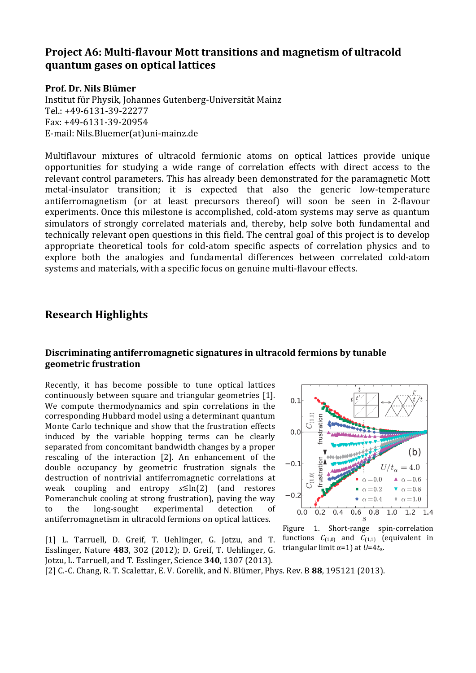# **Project A6: Multi-flavour Mott transitions and magnetism of ultracold quantum gases on optical lattices**

#### **Prof. Dr. Nils Blümer**

Institut für Physik, Johannes Gutenberg-Universität Mainz Tel.: +49-6131-39-22277 Fax: +49-6131-39-20954 E-mail: Nils.Bluemer(at)uni-mainz.de

Multiflavour mixtures of ultracold fermionic atoms on optical lattices provide unique opportunities for studying a wide range of correlation effects with direct access to the relevant control parameters. This has already been demonstrated for the paramagnetic Mott metal-insulator transition; it is expected that also the generic low-temperature antiferromagnetism (or at least precursors thereof) will soon be seen in 2-flavour experiments. Once this milestone is accomplished, cold-atom systems may serve as quantum simulators of strongly correlated materials and, thereby, help solve both fundamental and technically relevant open questions in this field. The central goal of this project is to develop appropriate theoretical tools for cold-atom specific aspects of correlation physics and to explore both the analogies and fundamental differences between correlated cold-atom systems and materials, with a specific focus on genuine multi-flavour effects.

#### **Research Highlights**

#### Discriminating antiferromagnetic signatures in ultracold fermions by tunable **geometric frustration**

Recently, it has become possible to tune optical lattices continuously between square and triangular geometries [1]. We compute thermodynamics and spin correlations in the corresponding Hubbard model using a determinant quantum Monte Carlo technique and show that the frustration effects induced by the variable hopping terms can be clearly separated from concomitant bandwidth changes by a proper rescaling of the interaction [2]. An enhancement of the double occupancy by geometric frustration signals the destruction of nontrivial antiferromagnetic correlations at weak coupling and entropy *s*≤ln(2) (and restores Pomeranchuk cooling at strong frustration), paving the way to the long-sought experimental detection of antiferromagnetism in ultracold fermions on optical lattices.

[1] L. Tarruell, D. Greif, T. Uehlinger, G. Jotzu, and T. Esslinger, Nature 483, 302 (2012); D. Greif, T. Uehlinger, G. Jotzu, L. Tarruell, and T. Esslinger, Science **340**, 1307 (2013).



Figure 1. Short-range spin-correlation functions  $C_{(1,0)}$  and  $C_{(1,1)}$  (equivalent in triangular limit  $\alpha$ =1) at *U*=4 $t_{\alpha}$ .

[2] C.-C. Chang, R. T. Scalettar, E. V. Gorelik, and N. Blümer, Phys. Rev. B **88**, 195121 (2013).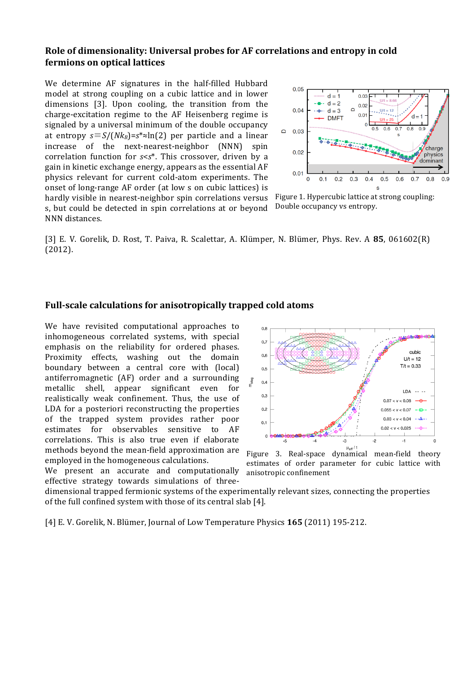#### **Role of dimensionality: Universal probes for AF correlations and entropy in cold fermions on optical lattices**

We determine AF signatures in the half-filled Hubbard model at strong coupling on a cubic lattice and in lower dimensions [3]. Upon cooling, the transition from the charge-excitation regime to the AF Heisenberg regime is signaled by a universal minimum of the double occupancy at entropy  $s \equiv S/(Nk_B) = s^* \approx \ln(2)$  per particle and a linear increase of the next-nearest-neighbor (NNN) spin correlation function for  $s < s^*$ . This crossover, driven by a gain in kinetic exchange energy, appears as the essential AF physics relevant for current cold-atom experiments. The onset of long-range AF order (at low s on cubic lattices) is hardly visible in nearest-neighbor spin correlations versus s, but could be detected in spin correlations at or beyond NNN distances.



Figure 1. Hypercubic lattice at strong coupling: Double occupancy vs entropy.

[3] E. V. Gorelik, D. Rost, T. Paiva, R. Scalettar, A. Klümper, N. Blümer, Phys. Rev. A 85, 061602(R) (2012).

#### **Full-scale calculations for anisotropically trapped cold atoms**

We have revisited computational approaches to inhomogeneous correlated systems, with special emphasis on the reliability for ordered phases. Proximity effects, washing out the domain boundary between a central core with (local) antiferromagnetic (AF) order and a surrounding metallic shell, appear significant even for realistically weak confinement. Thus, the use of LDA for a posteriori reconstructing the properties of the trapped system provides rather poor estimates for observables sensitive to AF correlations. This is also true even if elaborate methods beyond the mean-field approximation are employed in the homogeneous calculations.

We present an accurate and computationally effective strategy towards simulations of three-



Figure 3. Real-space dynamical mean-field theory estimates of order parameter for cubic lattice with anisotropic confinement

dimensional trapped fermionic systems of the experimentally relevant sizes, connecting the properties of the full confined system with those of its central slab [4].

[4] E. V. Gorelik, N. Blümer, Journal of Low Temperature Physics **165** (2011) 195-212.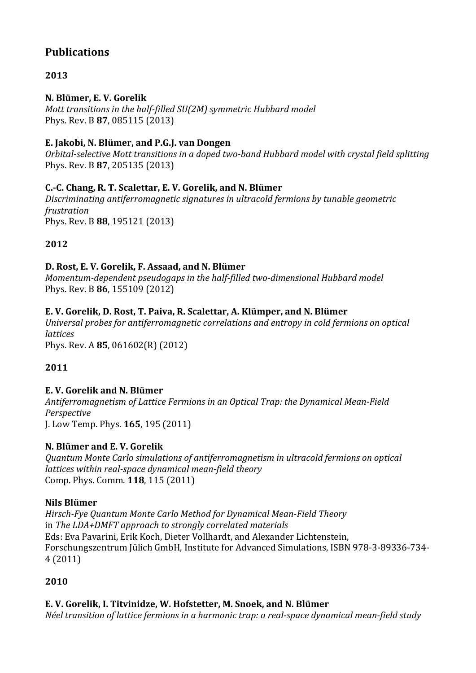# **Publications**

# **2013**

## **N. Blümer, E. V. Gorelik**

*Mott transitions in the half-filled SU(2M) symmetric Hubbard model* Phys. Rev. B **87**, 085115 (2013)

## **E. Jakobi, N. Blümer, and P.G.J. van Dongen**

*Orbital-selective Mott transitions in a doped two-band Hubbard model with crystal field splitting* Phys. Rev. B **87**, 205135 (2013)

## **C.-C. Chang, R. T. Scalettar, E. V. Gorelik, and N. Blümer**

Discriminating antiferromagnetic signatures in ultracold fermions by tunable geometric *frustration* Phys. Rev. B **88**, 195121 (2013)

# **2012**

### D. Rost, E. V. Gorelik, F. Assaad, and N. Blümer

*Momentum-dependent pseudogaps in the half-filled two-dimensional Hubbard model* Phys. Rev. B **86**, 155109 (2012)

### **E. V. Gorelik, D. Rost, T. Paiva, R. Scalettar, A. Klümper, and N. Blümer**

*Universal probes for antiferromagnetic correlations and entropy in cold fermions on optical lattices* Phys. Rev. A **85**, 061602(R) (2012)

# **2011**

### **E. V. Gorelik and N. Blümer**

*Antiferromagnetism of Lattice Fermions in an Optical Trap: the Dynamical Mean-Field Perspective* J. Low Temp. Phys. **165**, 195 (2011)

### **N. Blümer and E. V. Gorelik**

*Quantum Monte Carlo simulations of antiferromagnetism in ultracold fermions on optical lattices within real-space dynamical mean-field theory* Comp. Phys. Comm. **118**, 115 (2011)

### **Nils Blümer**

*Hirsch-Fye Quantum Monte Carlo Method for Dynamical Mean-Field Theory* in *The LDA+DMFT* approach to strongly correlated materials Eds: Eva Pavarini, Erik Koch, Dieter Vollhardt, and Alexander Lichtenstein, Forschungszentrum Jülich GmbH, Institute for Advanced Simulations, ISBN 978-3-89336-734-4 (2011)

# **2010**

# **E. V. Gorelik, I. Titvinidze, W. Hofstetter, M. Snoek, and N. Blümer**

*Néel transition of lattice fermions in a harmonic trap: a real-space dynamical mean-field study*